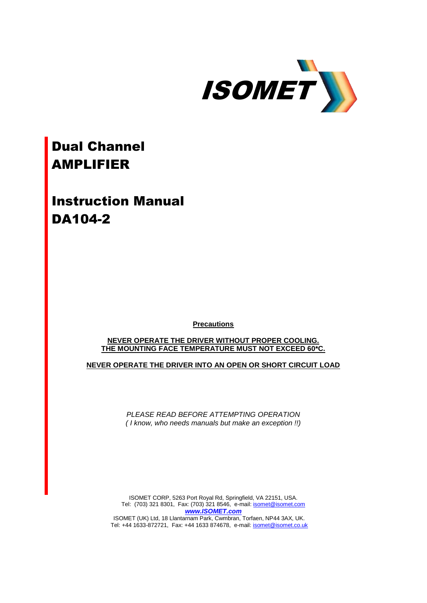

## Dual Channel AMPLIFIER

Instruction Manual DA104-2

**Precautions**

**NEVER OPERATE THE DRIVER WITHOUT PROPER COOLING. THE MOUNTING FACE TEMPERATURE MUST NOT EXCEED 60\*C.**

**NEVER OPERATE THE DRIVER INTO AN OPEN OR SHORT CIRCUIT LOAD**

*PLEASE READ BEFORE ATTEMPTING OPERATION ( I know, who needs manuals but make an exception !!)*

ISOMET CORP, 5263 Port Royal Rd, Springfield, VA 22151, USA. Tel: (703) 321 8301, Fax: (703) 321 8546, e-mail[: isomet@isomet.com](mailto:isomet@isomet.com) *[www.ISOMET.com](http://www.isomet.com/)* ISOMET (UK) Ltd, 18 Llantarnam Park, Cwmbran, Torfaen, NP44 3AX, UK. Tel: +44 1633-872721, Fax: +44 1633 874678, e-mail: [isomet@isomet.co.uk](mailto:isomet@isomet.co.uk)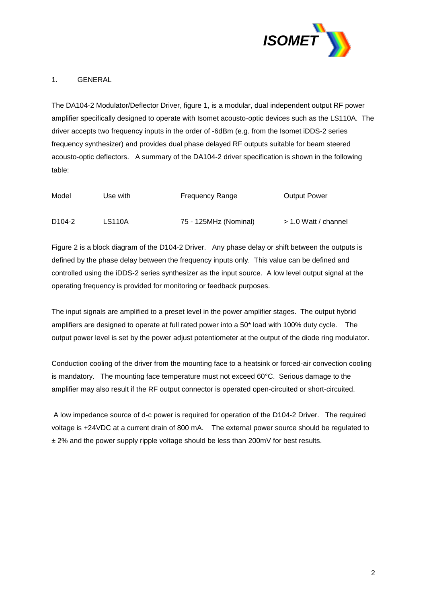

## 1. GENERAL

The DA104-2 Modulator/Deflector Driver, figure 1, is a modular, dual independent output RF power amplifier specifically designed to operate with Isomet acousto-optic devices such as the LS110A. The driver accepts two frequency inputs in the order of -6dBm (e.g. from the Isomet iDDS-2 series frequency synthesizer) and provides dual phase delayed RF outputs suitable for beam steered acousto-optic deflectors. A summary of the DA104-2 driver specification is shown in the following table:

| Model               | Use with      | <b>Frequency Range</b> | <b>Output Power</b>  |
|---------------------|---------------|------------------------|----------------------|
| D <sub>104</sub> -2 | <b>LS110A</b> | 75 - 125MHz (Nominal)  | > 1.0 Watt / channel |

Figure 2 is a block diagram of the D104-2 Driver. Any phase delay or shift between the outputs is defined by the phase delay between the frequency inputs only. This value can be defined and controlled using the iDDS-2 series synthesizer as the input source. A low level output signal at the operating frequency is provided for monitoring or feedback purposes.

The input signals are amplified to a preset level in the power amplifier stages. The output hybrid amplifiers are designed to operate at full rated power into a 50\* load with 100% duty cycle. The output power level is set by the power adjust potentiometer at the output of the diode ring modulator.

Conduction cooling of the driver from the mounting face to a heatsink or forced-air convection cooling is mandatory. The mounting face temperature must not exceed 60°C. Serious damage to the amplifier may also result if the RF output connector is operated open-circuited or short-circuited.

A low impedance source of d-c power is required for operation of the D104-2 Driver. The required voltage is +24VDC at a current drain of 800 mA. The external power source should be regulated to ± 2% and the power supply ripple voltage should be less than 200mV for best results.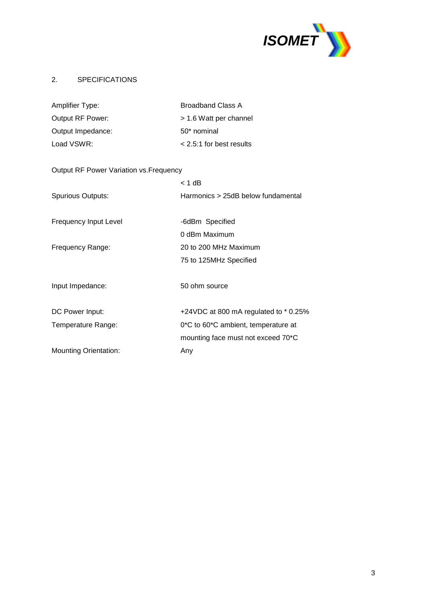

## 2. SPECIFICATIONS

| Amplifier Type:         | <b>Broadband Class A</b>   |
|-------------------------|----------------------------|
| <b>Output RF Power:</b> | > 1.6 Watt per channel     |
| Output Impedance:       | 50* nominal                |
| Load VSWR:              | $<$ 2.5:1 for best results |

# Output RF Power Variation vs.Frequency  $< 1$  dB Spurious Outputs: Harmonics > 25dB below fundamental Frequency Input Level -6dBm Specified 0 dBm Maximum Frequency Range: 20 to 200 MHz Maximum 75 to 125MHz Specified Input Impedance: 50 ohm source DC Power Input:  $+24VDC$  at 800 mA regulated to \* 0.25% Temperature Range: 0\*C to 60\*C ambient, temperature at mounting face must not exceed 70\*C Mounting Orientation: Any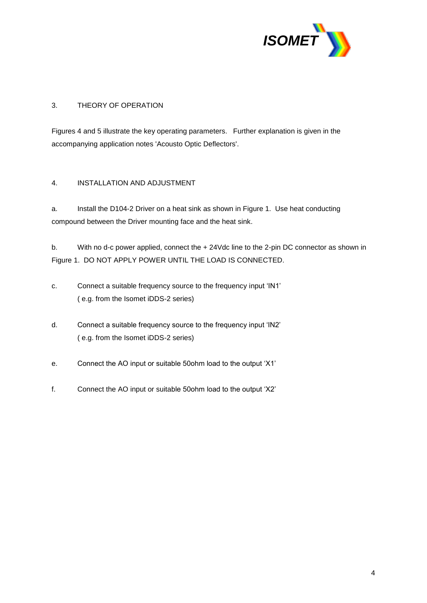

## 3. THEORY OF OPERATION

Figures 4 and 5 illustrate the key operating parameters. Further explanation is given in the accompanying application notes 'Acousto Optic Deflectors'.

## 4. INSTALLATION AND ADJUSTMENT

a. Install the D104-2 Driver on a heat sink as shown in Figure 1. Use heat conducting compound between the Driver mounting face and the heat sink.

b. With no d-c power applied, connect the + 24Vdc line to the 2-pin DC connector as shown in Figure 1. DO NOT APPLY POWER UNTIL THE LOAD IS CONNECTED.

- c. Connect a suitable frequency source to the frequency input 'IN1' ( e.g. from the Isomet iDDS-2 series)
- d. Connect a suitable frequency source to the frequency input 'IN2' ( e.g. from the Isomet iDDS-2 series)
- e. Connect the AO input or suitable 50ohm load to the output 'X1'
- f. Connect the AO input or suitable 50ohm load to the output 'X2'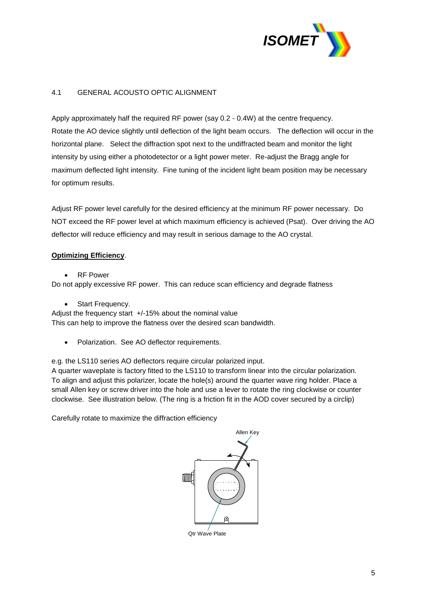

## 4.1 GENERAL ACOUSTO OPTIC ALIGNMENT

Apply approximately half the required RF power (say 0.2 - 0.4W) at the centre frequency. Rotate the AO device slightly until deflection of the light beam occurs. The deflection will occur in the horizontal plane. Select the diffraction spot next to the undiffracted beam and monitor the light intensity by using either a photodetector or a light power meter. Re-adjust the Bragg angle for maximum deflected light intensity. Fine tuning of the incident light beam position may be necessary for optimum results.

Adjust RF power level carefully for the desired efficiency at the minimum RF power necessary. Do NOT exceed the RF power level at which maximum efficiency is achieved (Psat). Over driving the AO deflector will reduce efficiency and may result in serious damage to the AO crystal.

#### **Optimizing Efficiency**.

RF Power

Do not apply excessive RF power. This can reduce scan efficiency and degrade flatness

Start Frequency.

Adjust the frequency start +/-15% about the nominal value This can help to improve the flatness over the desired scan bandwidth.

• Polarization. See AO deflector requirements.

e.g. the LS110 series AO deflectors require circular polarized input.

A quarter waveplate is factory fitted to the LS110 to transform linear into the circular polarization. To align and adjust this polarizer, locate the hole(s) around the quarter wave ring holder. Place a small Allen key or screw driver into the hole and use a lever to rotate the ring clockwise or counter clockwise. See illustration below. (The ring is a friction fit in the AOD cover secured by a circlip)

Carefully rotate to maximize the diffraction efficiency

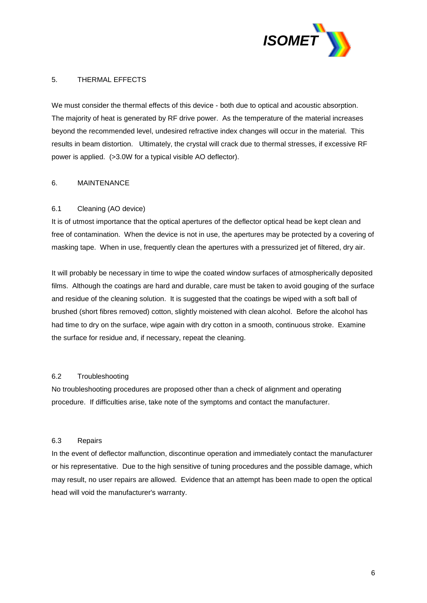

#### 5. THERMAL EFFECTS

We must consider the thermal effects of this device - both due to optical and acoustic absorption. The majority of heat is generated by RF drive power. As the temperature of the material increases beyond the recommended level, undesired refractive index changes will occur in the material. This results in beam distortion. Ultimately, the crystal will crack due to thermal stresses, if excessive RF power is applied. (>3.0W for a typical visible AO deflector).

#### 6. MAINTENANCE

## 6.1 Cleaning (AO device)

It is of utmost importance that the optical apertures of the deflector optical head be kept clean and free of contamination. When the device is not in use, the apertures may be protected by a covering of masking tape. When in use, frequently clean the apertures with a pressurized jet of filtered, dry air.

It will probably be necessary in time to wipe the coated window surfaces of atmospherically deposited films. Although the coatings are hard and durable, care must be taken to avoid gouging of the surface and residue of the cleaning solution. It is suggested that the coatings be wiped with a soft ball of brushed (short fibres removed) cotton, slightly moistened with clean alcohol. Before the alcohol has had time to dry on the surface, wipe again with dry cotton in a smooth, continuous stroke. Examine the surface for residue and, if necessary, repeat the cleaning.

#### 6.2 Troubleshooting

No troubleshooting procedures are proposed other than a check of alignment and operating procedure. If difficulties arise, take note of the symptoms and contact the manufacturer.

#### 6.3 Repairs

In the event of deflector malfunction, discontinue operation and immediately contact the manufacturer or his representative. Due to the high sensitive of tuning procedures and the possible damage, which may result, no user repairs are allowed. Evidence that an attempt has been made to open the optical head will void the manufacturer's warranty.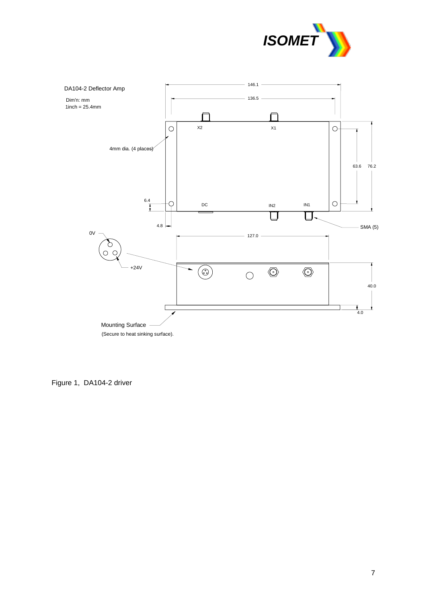



Figure 1, DA104-2 driver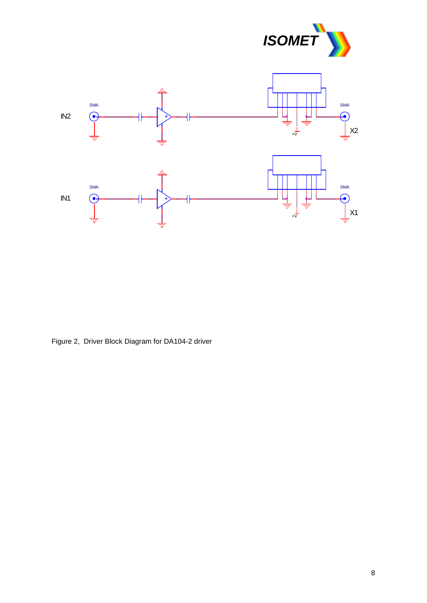



Figure 2, Driver Block Diagram for DA104-2 driver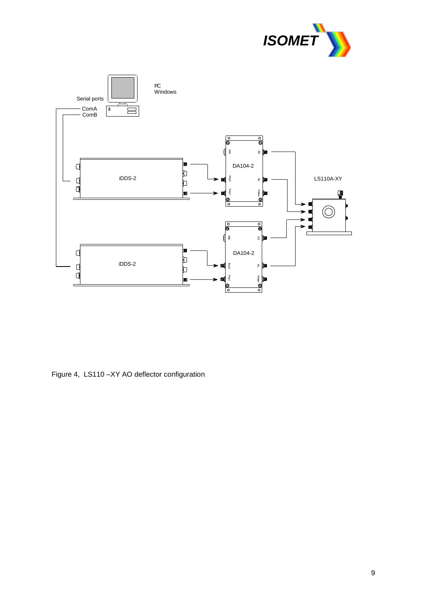



Figure 4, LS110 –XY AO deflector configuration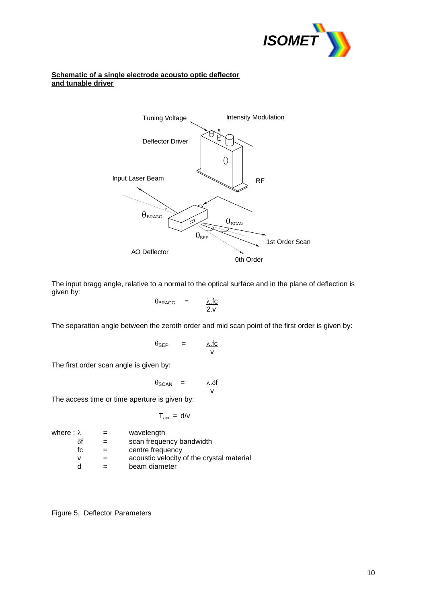

#### **Schematic of a single electrode acousto optic deflector and tunable driver**



The input bragg angle, relative to a normal to the optical surface and in the plane of deflection is given by:

$$
\theta_{\text{BRAGG}} = \frac{\lambda \text{ f c}}{2 \text{.v}}
$$

The separation angle between the zeroth order and mid scan point of the first order is given by:

$$
\theta_{\text{SEP}} = \frac{\lambda \cdot \text{fc}}{\text{v}}
$$

The first order scan angle is given by:

$$
\theta_{\text{SCAN}} = \frac{\lambda . \delta f}{v}
$$

The access time or time aperture is given by:

$$
T_{\rm acc} = d/v
$$

| where : $\lambda$ | $=$ | wavelength                                |
|-------------------|-----|-------------------------------------------|
| δf                |     | scan frequency bandwidth                  |
| fc.               |     | centre frequency                          |
| v                 |     | acoustic velocity of the crystal material |
|                   |     | beam diameter                             |
|                   |     |                                           |

Figure 5, Deflector Parameters